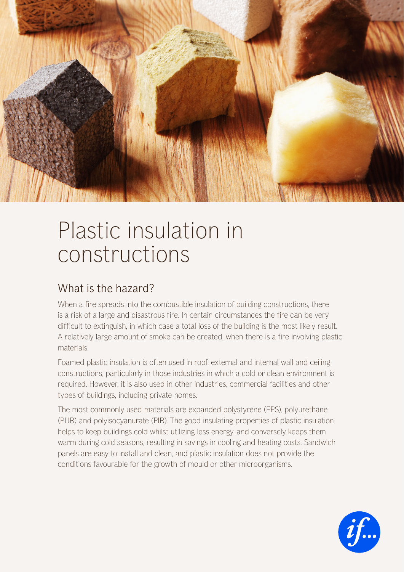

## Plastic insulation in constructions

## What is the hazard?

When a fire spreads into the combustible insulation of building constructions, there is a risk of a large and disastrous fire. In certain circumstances the fire can be very difficult to extinguish, in which case a total loss of the building is the most likely result. A relatively large amount of smoke can be created, when there is a fire involving plastic materials.

Foamed plastic insulation is often used in roof, external and internal wall and ceiling constructions, particularly in those industries in which a cold or clean environment is required. However, it is also used in other industries, commercial facilities and other types of buildings, including private homes.

The most commonly used materials are expanded polystyrene (EPS), polyurethane (PUR) and polyisocyanurate (PIR). The good insulating properties of plastic insulation helps to keep buildings cold whilst utilizing less energy, and conversely keeps them warm during cold seasons, resulting in savings in cooling and heating costs. Sandwich panels are easy to install and clean, and plastic insulation does not provide the conditions favourable for the growth of mould or other microorganisms.

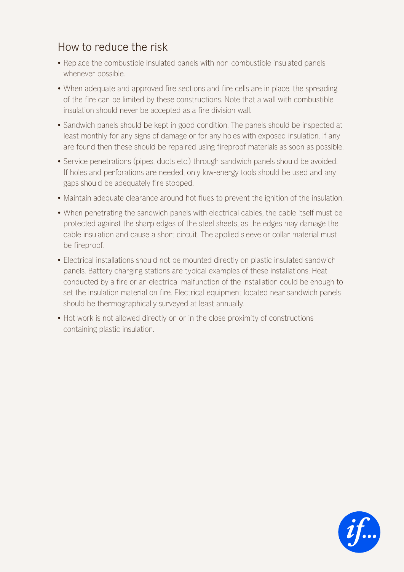## How to reduce the risk

- Replace the combustible insulated panels with non-combustible insulated panels whenever possible.
- When adequate and approved fire sections and fire cells are in place, the spreading of the fire can be limited by these constructions. Note that a wall with combustible insulation should never be accepted as a fire division wall.
- Sandwich panels should be kept in good condition. The panels should be inspected at least monthly for any signs of damage or for any holes with exposed insulation. If any are found then these should be repaired using fireproof materials as soon as possible.
- Service penetrations (pipes, ducts etc.) through sandwich panels should be avoided. If holes and perforations are needed, only low-energy tools should be used and any gaps should be adequately fire stopped.
- Maintain adequate clearance around hot flues to prevent the ignition of the insulation.
- When penetrating the sandwich panels with electrical cables, the cable itself must be protected against the sharp edges of the steel sheets, as the edges may damage the cable insulation and cause a short circuit. The applied sleeve or collar material must be fireproof.
- Electrical installations should not be mounted directly on plastic insulated sandwich panels. Battery charging stations are typical examples of these installations. Heat conducted by a fire or an electrical malfunction of the installation could be enough to set the insulation material on fire. Electrical equipment located near sandwich panels should be thermographically surveyed at least annually.
- Hot work is not allowed directly on or in the close proximity of constructions containing plastic insulation.